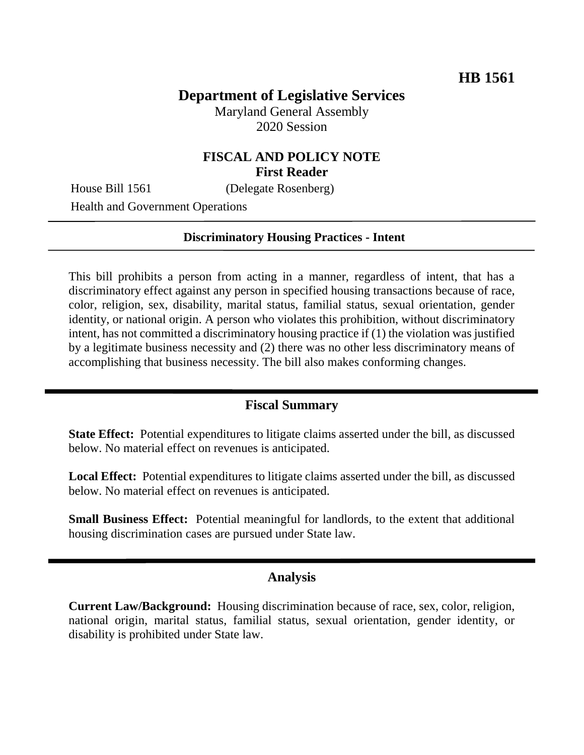# **Department of Legislative Services**

Maryland General Assembly 2020 Session

### **FISCAL AND POLICY NOTE First Reader**

House Bill 1561 (Delegate Rosenberg)

Health and Government Operations

#### **Discriminatory Housing Practices - Intent**

This bill prohibits a person from acting in a manner, regardless of intent, that has a discriminatory effect against any person in specified housing transactions because of race, color, religion, sex, disability, marital status, familial status, sexual orientation, gender identity, or national origin. A person who violates this prohibition, without discriminatory intent, has not committed a discriminatory housing practice if (1) the violation was justified by a legitimate business necessity and (2) there was no other less discriminatory means of accomplishing that business necessity. The bill also makes conforming changes.

#### **Fiscal Summary**

**State Effect:** Potential expenditures to litigate claims asserted under the bill, as discussed below. No material effect on revenues is anticipated.

**Local Effect:** Potential expenditures to litigate claims asserted under the bill, as discussed below. No material effect on revenues is anticipated.

**Small Business Effect:** Potential meaningful for landlords, to the extent that additional housing discrimination cases are pursued under State law.

### **Analysis**

**Current Law/Background:** Housing discrimination because of race, sex, color, religion, national origin, marital status, familial status, sexual orientation, gender identity, or disability is prohibited under State law.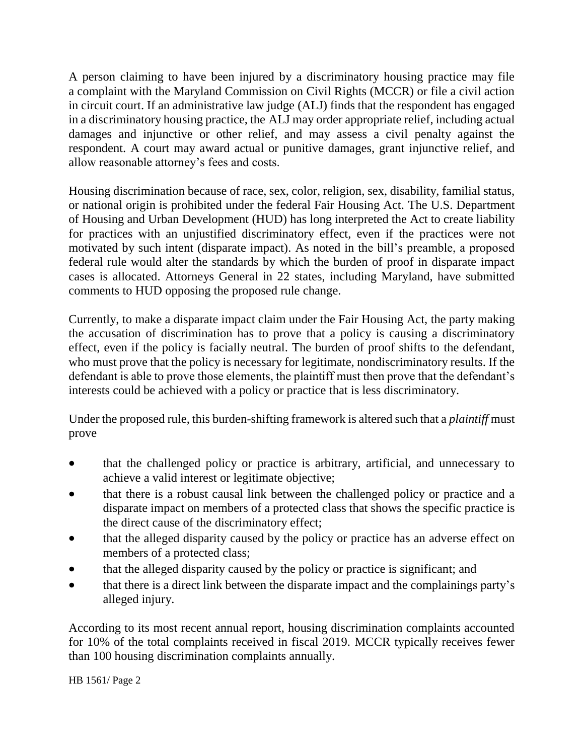A person claiming to have been injured by a discriminatory housing practice may file a complaint with the Maryland Commission on Civil Rights (MCCR) or file a civil action in circuit court. If an administrative law judge (ALJ) finds that the respondent has engaged in a discriminatory housing practice, the ALJ may order appropriate relief, including actual damages and injunctive or other relief, and may assess a civil penalty against the respondent. A court may award actual or punitive damages, grant injunctive relief, and allow reasonable attorney's fees and costs.

Housing discrimination because of race, sex, color, religion, sex, disability, familial status, or national origin is prohibited under the federal Fair Housing Act. The U.S. Department of Housing and Urban Development (HUD) has long interpreted the Act to create liability for practices with an unjustified discriminatory effect, even if the practices were not motivated by such intent (disparate impact). As noted in the bill's preamble, a proposed federal rule would alter the standards by which the burden of proof in disparate impact cases is allocated. Attorneys General in 22 states, including Maryland, have submitted comments to HUD opposing the proposed rule change.

Currently, to make a disparate impact claim under the Fair Housing Act, the party making the accusation of discrimination has to prove that a policy is causing a discriminatory effect, even if the policy is facially neutral. The burden of proof shifts to the defendant, who must prove that the policy is necessary for legitimate, nondiscriminatory results. If the defendant is able to prove those elements, the plaintiff must then prove that the defendant's interests could be achieved with a policy or practice that is less discriminatory.

Under the proposed rule, this burden-shifting framework is altered such that a *plaintiff* must prove

- that the challenged policy or practice is arbitrary, artificial, and unnecessary to achieve a valid interest or legitimate objective;
- that there is a robust causal link between the challenged policy or practice and a disparate impact on members of a protected class that shows the specific practice is the direct cause of the discriminatory effect;
- that the alleged disparity caused by the policy or practice has an adverse effect on members of a protected class;
- that the alleged disparity caused by the policy or practice is significant; and
- that there is a direct link between the disparate impact and the complainings party's alleged injury.

According to its most recent annual report, housing discrimination complaints accounted for 10% of the total complaints received in fiscal 2019. MCCR typically receives fewer than 100 housing discrimination complaints annually.

HB 1561/ Page 2